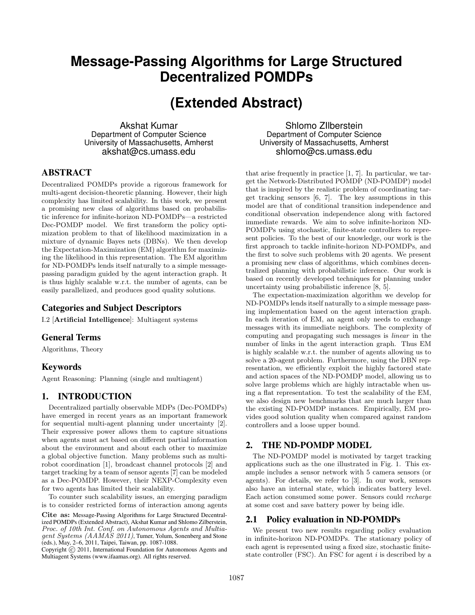# **Message-Passing Algorithms for Large Structured Decentralized POMDPs**

# **(Extended Abstract)**

Akshat Kumar Department of Computer Science University of Massachusetts, Amherst akshat@cs.umass.edu

## **ABSTRACT**

Decentralized POMDPs provide a rigorous framework for multi-agent decision-theoretic planning. However, their high complexity has limited scalability. In this work, we present a promising new class of algorithms based on probabilistic inference for infinite-horizon ND-POMDPs—a restricted Dec-POMDP model. We first transform the policy optimization problem to that of likelihood maximization in a mixture of dynamic Bayes nets (DBNs). We then develop the Expectation-Maximization (EM) algorithm for maximizing the likelihood in this representation. The EM algorithm for ND-POMDPs lends itself naturally to a simple messagepassing paradigm guided by the agent interaction graph. It is thus highly scalable w.r.t. the number of agents, can be easily parallelized, and produces good quality solutions.

## Categories and Subject Descriptors

I.2 [Artificial Intelligence]: Multiagent systems

### General Terms

Algorithms, Theory

## Keywords

Agent Reasoning: Planning (single and multiagent)

## 1. INTRODUCTION

Decentralized partially observable MDPs (Dec-POMDPs) have emerged in recent years as an important framework for sequential multi-agent planning under uncertainty [2]. Their expressive power allows them to capture situations when agents must act based on different partial information about the environment and about each other to maximize a global objective function. Many problems such as multirobot coordination [1], broadcast channel protocols [2] and target tracking by a team of sensor agents [7] can be modeled as a Dec-POMDP. However, their NEXP-Complexity even for two agents has limited their scalability.

To counter such scalability issues, an emerging paradigm is to consider restricted forms of interaction among agents

Cite as: Message-Passing Algorithms for Large Structured Decentralized POMDPs (Extended Abstract), Akshat Kumar and Shlomo Zilberstein, Proc. of 10th Int. Conf. on Autonomous Agents and Multiagent Systems (AAMAS 2011), Tumer, Yolum, Sonenberg and Stone (eds.), May, 2–6, 2011, Taipei, Taiwan, pp. 1087-1088.

Copyright (C) 2011, International Foundation for Autonomous Agents and Multiagent Systems (www.ifaamas.org). All rights reserved.

Shlomo ZIlberstein Department of Computer Science University of Massachusetts, Amherst shlomo@cs.umass.edu

that arise frequently in practice [1, 7]. In particular, we target the Network-Distributed POMDP (ND-POMDP) model that is inspired by the realistic problem of coordinating target tracking sensors [6, 7]. The key assumptions in this model are that of conditional transition independence and conditional observation independence along with factored immediate rewards. We aim to solve infinite-horizon ND-POMDPs using stochastic, finite-state controllers to represent policies. To the best of our knowledge, our work is the first approach to tackle infinite-horizon ND-POMDPs, and the first to solve such problems with 20 agents. We present a promising new class of algorithms, which combines decentralized planning with probabilistic inference. Our work is based on recently developed techniques for planning under uncertainty using probabilistic inference [8, 5].

The expectation-maximization algorithm we develop for ND-POMDPs lends itself naturally to a simple message passing implementation based on the agent interaction graph. In each iteration of EM, an agent only needs to exchange messages with its immediate neighbors. The complexity of computing and propagating such messages is linear in the number of links in the agent interaction graph. Thus EM is highly scalable w.r.t. the number of agents allowing us to solve a 20-agent problem. Furthermore, using the DBN representation, we efficiently exploit the highly factored state and action spaces of the ND-POMDP model, allowing us to solve large problems which are highly intractable when using a flat representation. To test the scalability of the EM, we also design new benchmarks that are much larger than the existing ND-POMDP instances. Empirically, EM provides good solution quality when compared against random controllers and a loose upper bound.

#### 2. THE ND-POMDP MODEL

The ND-POMDP model is motivated by target tracking applications such as the one illustrated in Fig. 1. This example includes a sensor network with 5 camera sensors (or agents). For details, we refer to [3]. In our work, sensors also have an internal state, which indicates battery level. Each action consumed some power. Sensors could recharge at some cost and save battery power by being idle.

#### 2.1 Policy evaluation in ND-POMDPs

We present two new results regarding policy evaluation in infinite-horizon ND-POMDPs. The stationary policy of each agent is represented using a fixed size, stochastic finitestate controller (FSC). An FSC for agent  $i$  is described by a